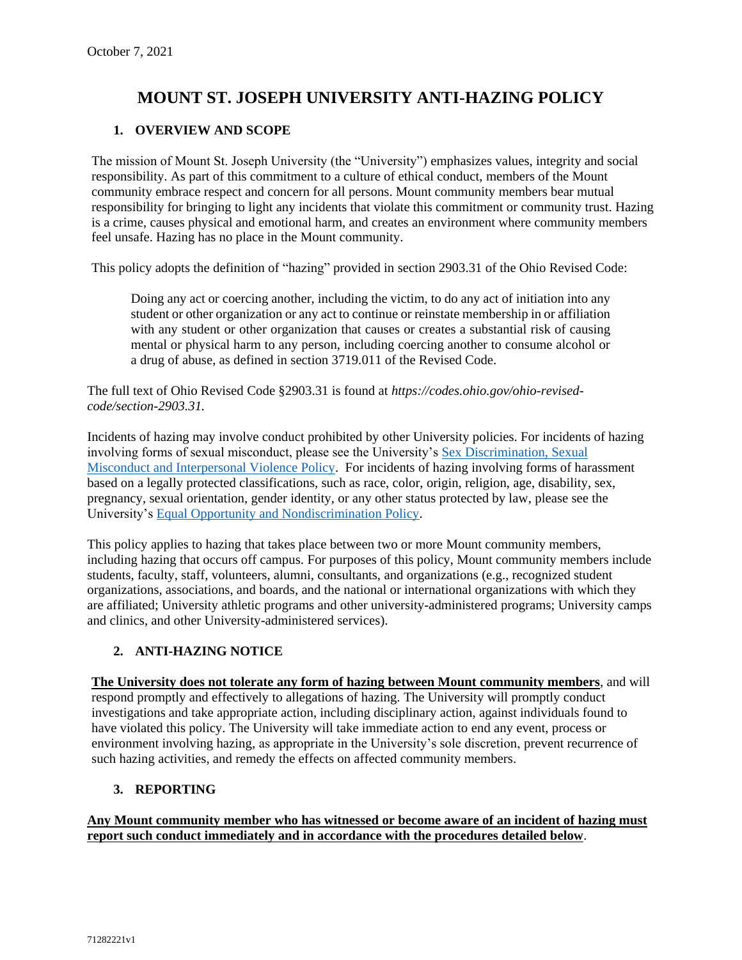# **MOUNT ST. JOSEPH UNIVERSITY ANTI-HAZING POLICY**

# **1. OVERVIEW AND SCOPE**

The mission of Mount St. Joseph University (the "University") emphasizes values, integrity and social responsibility. As part of this commitment to a culture of ethical conduct, members of the Mount community embrace respect and concern for all persons. Mount community members bear mutual responsibility for bringing to light any incidents that violate this commitment or community trust. Hazing is a crime, causes physical and emotional harm, and creates an environment where community members feel unsafe. Hazing has no place in the Mount community.

This policy adopts the definition of "hazing" provided in section 2903.31 of the Ohio Revised Code:

Doing any act or coercing another, including the victim, to do any act of initiation into any student or other organization or any act to continue or reinstate membership in or affiliation with any student or other organization that causes or creates a substantial risk of causing mental or physical harm to any person, including coercing another to consume alcohol or a drug of abuse, as defined in section 3719.011 of the Revised Code.

The full text of Ohio Revised Code §2903.31 is found at *https://codes.ohio.gov/ohio-revisedcode/section-2903.31.*

Incidents of hazing may involve conduct prohibited by other University policies. For incidents of hazing involving forms of sexual misconduct, please see the University's [Sex Discrimination, Sexual](https://www.msj.edu/about/title-ix/index.html)  [Misconduct and Interpersonal Violence Policy.](https://www.msj.edu/about/title-ix/index.html) For incidents of hazing involving forms of harassment based on a legally protected classifications, such as race, color, origin, religion, age, disability, sex, pregnancy, sexual orientation, gender identity, or any other status protected by law, please see the University's [Equal Opportunity and Nondiscrimination Policy.](https://www.msj.edu/non-discrimination-policy/)

This policy applies to hazing that takes place between two or more Mount community members, including hazing that occurs off campus. For purposes of this policy, Mount community members include students, faculty, staff, volunteers, alumni, consultants, and organizations (e.g., recognized student organizations, associations, and boards, and the national or international organizations with which they are affiliated; University athletic programs and other university-administered programs; University camps and clinics, and other University-administered services).

#### **2. ANTI-HAZING NOTICE**

**The University does not tolerate any form of hazing between Mount community members**, and will respond promptly and effectively to allegations of hazing. The University will promptly conduct investigations and take appropriate action, including disciplinary action, against individuals found to have violated this policy. The University will take immediate action to end any event, process or environment involving hazing, as appropriate in the University's sole discretion, prevent recurrence of such hazing activities, and remedy the effects on affected community members.

#### **3. REPORTING**

**Any Mount community member who has witnessed or become aware of an incident of hazing must report such conduct immediately and in accordance with the procedures detailed below**.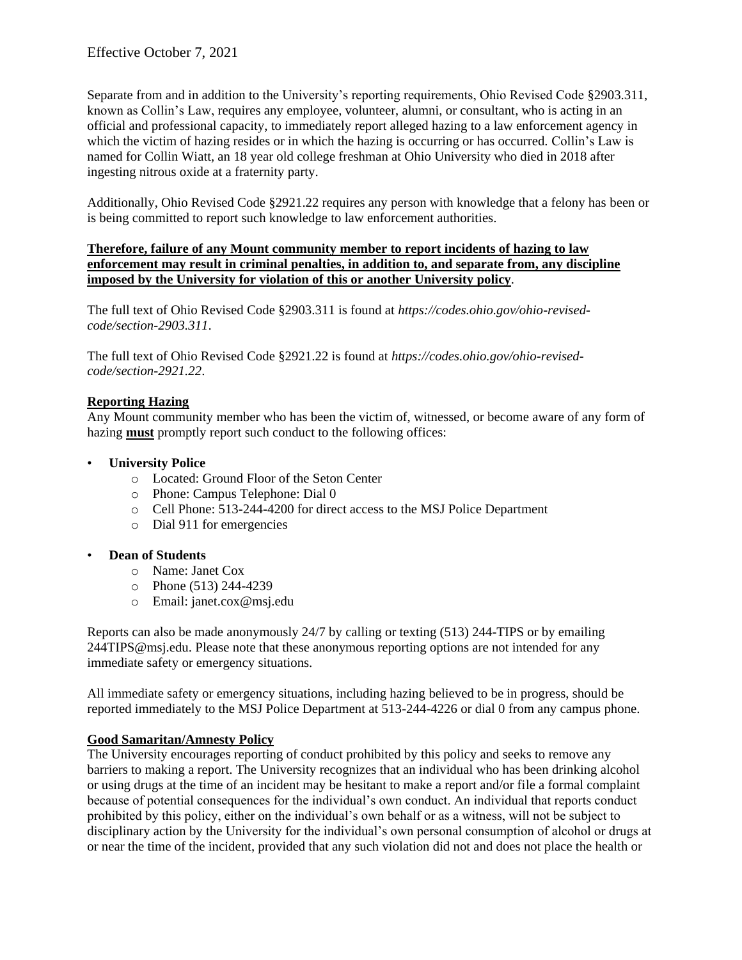Separate from and in addition to the University's reporting requirements, Ohio Revised Code §2903.311, known as Collin's Law, requires any employee, volunteer, alumni, or consultant, who is acting in an official and professional capacity, to immediately report alleged hazing to a law enforcement agency in which the victim of hazing resides or in which the hazing is occurring or has occurred. Collin's Law is named for Collin Wiatt, an 18 year old college freshman at Ohio University who died in 2018 after ingesting nitrous oxide at a fraternity party.

Additionally, Ohio Revised Code §2921.22 requires any person with knowledge that a felony has been or is being committed to report such knowledge to law enforcement authorities.

#### **Therefore, failure of any Mount community member to report incidents of hazing to law enforcement may result in criminal penalties, in addition to, and separate from, any discipline imposed by the University for violation of this or another University policy**.

The full text of Ohio Revised Code §2903.311 is found at *https://codes.ohio.gov/ohio-revisedcode/section-2903.311*.

The full text of Ohio Revised Code §2921.22 is found at *https://codes.ohio.gov/ohio-revisedcode/section-2921.22*.

# **Reporting Hazing**

Any Mount community member who has been the victim of, witnessed, or become aware of any form of hazing **must** promptly report such conduct to the following offices:

#### • **University Police**

- o Located: Ground Floor of the Seton Center
- o Phone: Campus Telephone: Dial 0
- o Cell Phone: 513-244-4200 for direct access to the MSJ Police Department
- o Dial 911 for emergencies

#### • **Dean of Students**

- o Name: Janet Cox
- o Phone (513) 244-4239
- o Email: janet.cox@msj.edu

Reports can also be made anonymously 24/7 by calling or texting (513) 244-TIPS or by emailing 244TIPS@msj.edu. Please note that these anonymous reporting options are not intended for any immediate safety or emergency situations.

All immediate safety or emergency situations, including hazing believed to be in progress, should be reported immediately to the MSJ Police Department at 513-244-4226 or dial 0 from any campus phone.

# **Good Samaritan/Amnesty Policy**

The University encourages reporting of conduct prohibited by this policy and seeks to remove any barriers to making a report. The University recognizes that an individual who has been drinking alcohol or using drugs at the time of an incident may be hesitant to make a report and/or file a formal complaint because of potential consequences for the individual's own conduct. An individual that reports conduct prohibited by this policy, either on the individual's own behalf or as a witness, will not be subject to disciplinary action by the University for the individual's own personal consumption of alcohol or drugs at or near the time of the incident, provided that any such violation did not and does not place the health or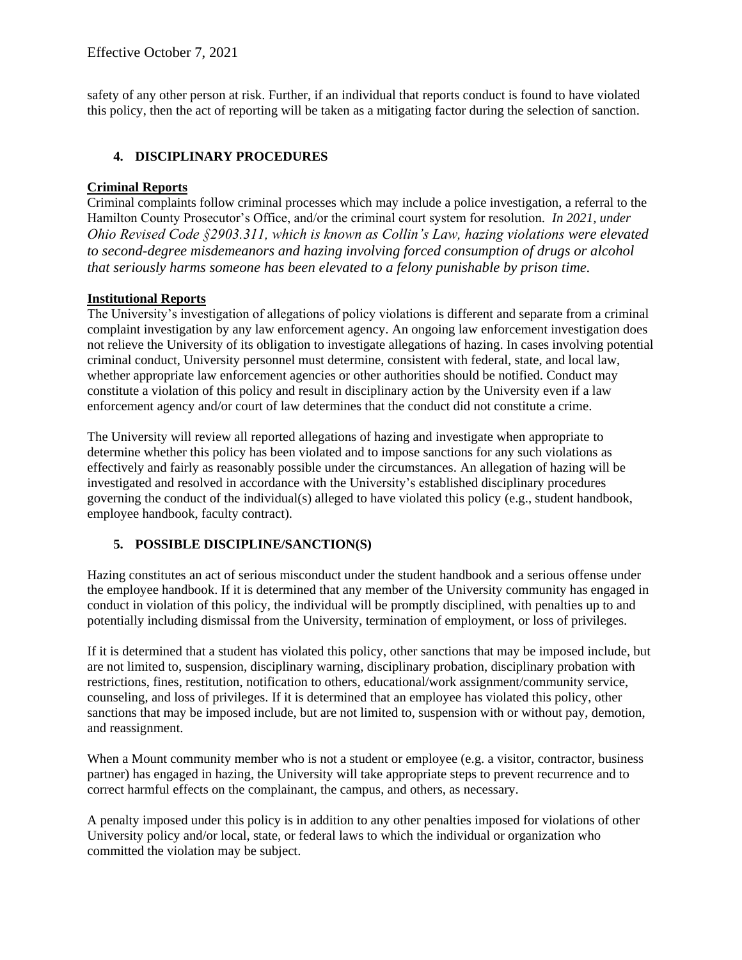safety of any other person at risk. Further, if an individual that reports conduct is found to have violated this policy, then the act of reporting will be taken as a mitigating factor during the selection of sanction.

### **4. DISCIPLINARY PROCEDURES**

#### **Criminal Reports**

Criminal complaints follow criminal processes which may include a police investigation, a referral to the Hamilton County Prosecutor's Office, and/or the criminal court system for resolution*. In 2021, under Ohio Revised Code §2903.311, which is known as Collin's Law, hazing violations were elevated to second-degree misdemeanors and hazing involving forced consumption of drugs or alcohol that seriously harms someone has been elevated to a felony punishable by prison time.* 

#### **Institutional Reports**

The University's investigation of allegations of policy violations is different and separate from a criminal complaint investigation by any law enforcement agency. An ongoing law enforcement investigation does not relieve the University of its obligation to investigate allegations of hazing. In cases involving potential criminal conduct, University personnel must determine, consistent with federal, state, and local law, whether appropriate law enforcement agencies or other authorities should be notified. Conduct may constitute a violation of this policy and result in disciplinary action by the University even if a law enforcement agency and/or court of law determines that the conduct did not constitute a crime.

The University will review all reported allegations of hazing and investigate when appropriate to determine whether this policy has been violated and to impose sanctions for any such violations as effectively and fairly as reasonably possible under the circumstances. An allegation of hazing will be investigated and resolved in accordance with the University's established disciplinary procedures governing the conduct of the individual(s) alleged to have violated this policy (e.g., student handbook, employee handbook, faculty contract).

#### **5. POSSIBLE DISCIPLINE/SANCTION(S)**

Hazing constitutes an act of serious misconduct under the student handbook and a serious offense under the employee handbook. If it is determined that any member of the University community has engaged in conduct in violation of this policy, the individual will be promptly disciplined, with penalties up to and potentially including dismissal from the University, termination of employment, or loss of privileges.

If it is determined that a student has violated this policy, other sanctions that may be imposed include, but are not limited to, suspension, disciplinary warning, disciplinary probation, disciplinary probation with restrictions, fines, restitution, notification to others, educational/work assignment/community service, counseling, and loss of privileges. If it is determined that an employee has violated this policy, other sanctions that may be imposed include, but are not limited to, suspension with or without pay, demotion, and reassignment.

When a Mount community member who is not a student or employee (e.g. a visitor, contractor, business partner) has engaged in hazing, the University will take appropriate steps to prevent recurrence and to correct harmful effects on the complainant, the campus, and others, as necessary.

A penalty imposed under this policy is in addition to any other penalties imposed for violations of other University policy and/or local, state, or federal laws to which the individual or organization who committed the violation may be subject.